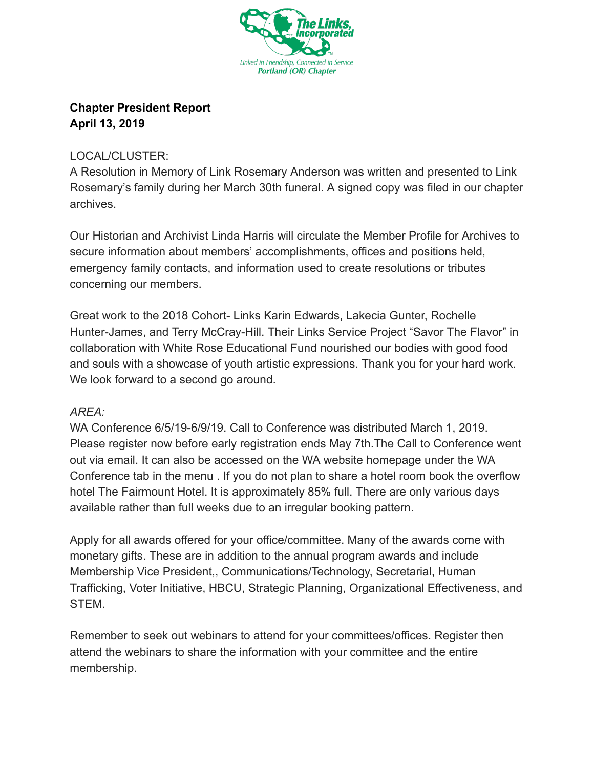

## **Chapter President Report April 13, 2019**

## LOCAL/CLUSTER:

A Resolution in Memory of Link Rosemary Anderson was written and presented to Link Rosemary's family during her March 30th funeral. A signed copy was filed in our chapter archives.

Our Historian and Archivist Linda Harris will circulate the Member Profile for Archives to secure information about members' accomplishments, offices and positions held, emergency family contacts, and information used to create resolutions or tributes concerning our members.

Great work to the 2018 Cohort- Links Karin Edwards, Lakecia Gunter, Rochelle Hunter-James, and Terry McCray-Hill. Their Links Service Project "Savor The Flavor" in collaboration with White Rose Educational Fund nourished our bodies with good food and souls with a showcase of youth artistic expressions. Thank you for your hard work. We look forward to a second go around.

## *AREA:*

WA Conference 6/5/19-6/9/19. Call to Conference was distributed March 1, 2019. Please register now before early registration ends May 7th.The Call to Conference went out via email. It can also be accessed on the WA website homepage under the WA Conference tab in the menu . If you do not plan to share a hotel room book the overflow hotel The Fairmount Hotel. It is approximately 85% full. There are only various days available rather than full weeks due to an irregular booking pattern.

Apply for all awards offered for your office/committee. Many of the awards come with monetary gifts. These are in addition to the annual program awards and include Membership Vice President,, Communications/Technology, Secretarial, Human Trafficking, Voter Initiative, HBCU, Strategic Planning, Organizational Effectiveness, and STEM.

Remember to seek out webinars to attend for your committees/offices. Register then attend the webinars to share the information with your committee and the entire membership.